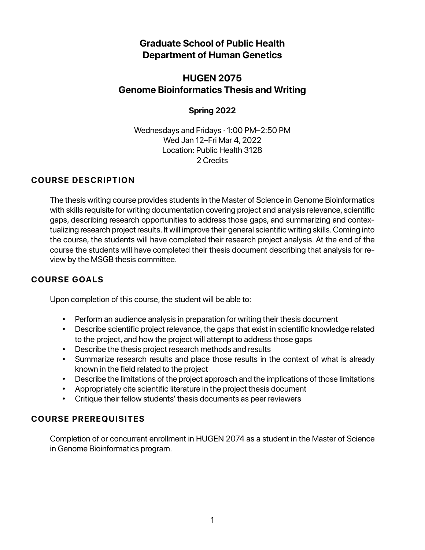# **Graduate School of Public Health Department of Human Genetics**

# **HUGEN 2075 Genome Bioinformatics Thesis and Writing**

# **Spring 2022**

Wednesdays and Fridays · 1:00 PM–2:50 PM Wed Jan 12–Fri Mar 4, 2022 Location: Public Health 3128 2 Credits

# **COURSE DESCRIPTION**

The thesis writing course provides students in the Master of Science in Genome Bioinformatics with skills requisite for writing documentation covering project and analysis relevance, scientific gaps, describing research opportunities to address those gaps, and summarizing and contextualizing research project results. It will improve their general scientific writing skills. Coming into the course, the students will have completed their research project analysis. At the end of the course the students will have completed their thesis document describing that analysis for review by the MSGB thesis committee.

# **COURSE GOALS**

Upon completion of this course, the student will be able to:

- Perform an audience analysis in preparation for writing their thesis document
- Describe scientific project relevance, the gaps that exist in scientific knowledge related to the project, and how the project will attempt to address those gaps
- Describe the thesis project research methods and results
- Summarize research results and place those results in the context of what is already known in the field related to the project
- Describe the limitations of the project approach and the implications of those limitations
- Appropriately cite scientific literature in the project thesis document
- Critique their fellow students' thesis documents as peer reviewers

# **COURSE PREREQUISITES**

Completion of or concurrent enrollment in HUGEN 2074 as a student in the Master of Science in Genome Bioinformatics program.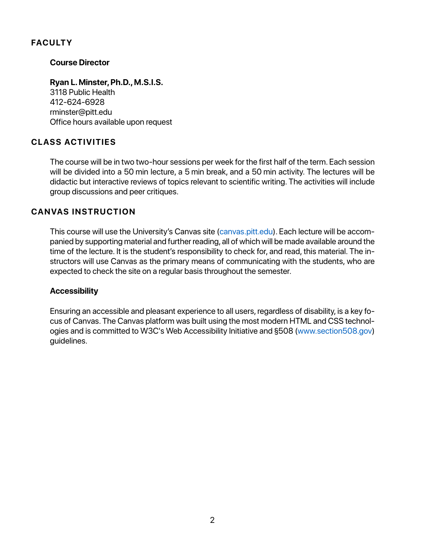# **FACULTY**

## **Course Director**

**Ryan L. Minster, Ph.D., M.S.I.S.** 3118 Public Health 412-624-6928 rminster@pitt.edu Office hours available upon request

# **CLASS ACTIVITIES**

The course will be in two two-hour sessions per week for the first half of the term. Each session will be divided into a 50 min lecture, a 5 min break, and a 50 min activity. The lectures will be didactic but interactive reviews of topics relevant to scientific writing. The activities will include group discussions and peer critiques.

# **CANVAS INSTRUCTION**

This course will use the University's Canvas site (canvas.pitt.edu). Each lecture will be accompanied by supporting material and further reading, all of which will be made available around the time of the lecture. It is the student's responsibility to check for, and read, this material. The instructors will use Canvas as the primary means of communicating with the students, who are expected to check the site on a regular basis throughout the semester.

## **Accessibility**

Ensuring an accessible and pleasant experience to all users, regardless of disability, is a key focus of Canvas. The Canvas platform was built using the most modern HTML and CSS technologies and is committed to W3C's Web Accessibility Initiative and §508 (www.section508.gov) guidelines.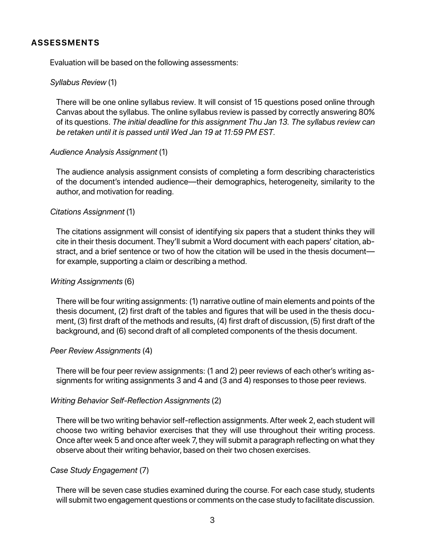# **ASSESSMENTS**

Evaluation will be based on the following assessments:

## *Syllabus Review* (1)

There will be one online syllabus review. It will consist of 15 questions posed online through Canvas about the syllabus. The online syllabus review is passed by correctly answering 80% of its questions. *The initial deadline for this assignment Thu Jan 13. The syllabus review can be retaken until it is passed until Wed Jan 19 at 11:59 PM EST.*

## *Audience Analysis Assignment* (1)

The audience analysis assignment consists of completing a form describing characteristics of the document's intended audience—their demographics, heterogeneity, similarity to the author, and motivation for reading.

## *Citations Assignment* (1)

The citations assignment will consist of identifying six papers that a student thinks they will cite in their thesis document. They'll submit a Word document with each papers' citation, abstract, and a brief sentence or two of how the citation will be used in the thesis document for example, supporting a claim or describing a method.

## *Writing Assignments* (6)

There will be four writing assignments: (1) narrative outline of main elements and points of the thesis document, (2) first draft of the tables and figures that will be used in the thesis document, (3) first draft of the methods and results, (4) first draft of discussion,(5) first draft of the background, and (6) second draft of all completed components of the thesis document.

## *Peer Review Assignments* (4)

There will be four peer review assignments: (1 and 2) peer reviews of each other's writing assignments for writing assignments 3 and 4 and (3 and 4) responses to those peer reviews.

## *Writing Behavior Self-Reflection Assignments* (2)

There will be two writing behavior self-reflection assignments. After week 2, each student will choose two writing behavior exercises that they will use throughout their writing process. Once after week 5 and once after week 7, they will submit a paragraph reflecting on what they observe about their writing behavior, based on their two chosen exercises.

## *Case Study Engagement* (7)

There will be seven case studies examined during the course. For each case study, students will submit two engagement questions or comments on the case study to facilitate discussion.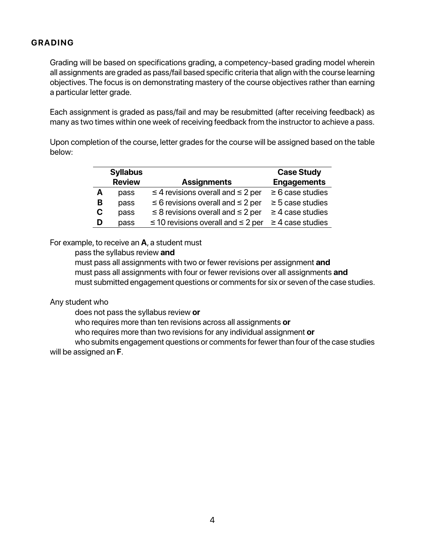# **GRADING**

Grading will be based on specifications grading, a competency-based grading model wherein all assignments are graded as pass/fail based specific criteria that align with the course learning objectives. The focus is on demonstrating mastery of the course objectives rather than earning a particular letter grade.

Each assignment is graded as pass/fail and may be resubmitted (after receiving feedback) as many as two times within one week of receiving feedback from the instructor to achieve a pass.

Upon completion of the course, letter grades for the course will be assigned based on the table below:

|   | <b>Syllabus</b> |                                              | <b>Case Study</b>     |
|---|-----------------|----------------------------------------------|-----------------------|
|   | <b>Review</b>   | <b>Assignments</b>                           | <b>Engagements</b>    |
| Α | pass            | $\leq$ 4 revisions overall and $\leq$ 2 per  | $\geq 6$ case studies |
| B | pass            | $\leq$ 6 revisions overall and $\leq$ 2 per  | $\geq$ 5 case studies |
| С | pass            | $\leq$ 8 revisions overall and $\leq$ 2 per  | $\geq$ 4 case studies |
| D | pass            | $\leq$ 10 revisions overall and $\leq$ 2 per | $\geq$ 4 case studies |

## For example, to receive an **A**, a student must

pass the syllabus review **and**

must pass all assignments with two or fewer revisions per assignment **and** must pass all assignments with four or fewer revisions over all assignments **and** must submitted engagement questions or comments for six or seven of the case studies.

## Any student who

does not pass the syllabus review **or**

who requires more than ten revisions across all assignments **or**

who requires more than two revisions for any individual assignment **or**

who submits engagement questions or comments for fewer than four of the case studies will be assigned an **F**.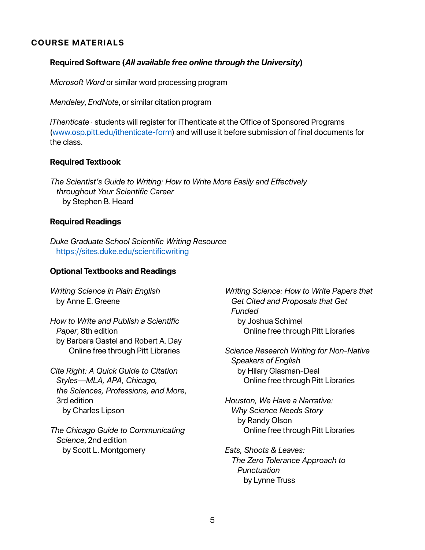## **COURSE MATERIALS**

## **Required Software (***All available free online through the University***)**

*Microsoft Word* or similar word processing program

*Mendeley*, *EndNote*, or similar citation program

*iThenticate* · students will register for iThenticate at the Office of Sponsored Programs (www.osp.pitt.edu/ithenticate-form) and will use it before submission of final documents for the class.

## **Required Textbook**

*The Scientist's Guide to Writing: How to Write More Easily and Effectively throughout Your Scientific Career* by Stephen B. Heard

### **Required Readings**

*Duke Graduate School Scientific Writing Resource* https://sites.duke.edu/scientificwriting

### **Optional Textbooks and Readings**

*Writing Science in Plain English* by Anne E. Greene

*How to Write and Publish a Scientific Paper*, 8th edition by Barbara Gastel and Robert A. Day Online free through Pitt Libraries

*Cite Right: A Quick Guide to Citation Styles—MLA, APA, Chicago, the Sciences, Professions, and More*, 3rd edition by Charles Lipson

*The Chicago Guide to Communicating Science*, 2nd edition by Scott L. Montgomery

*Writing Science: How to Write Papers that Get Cited and Proposals that Get Funded* by Joshua Schimel Online free through Pitt Libraries

*Science Research Writing for Non-Native Speakers of English* by Hilary Glasman-Deal Online free through Pitt Libraries

*Houston, We Have a Narrative: Why Science Needs Story* by Randy Olson Online free through Pitt Libraries

*Eats, Shoots & Leaves: The Zero Tolerance Approach to Punctuation* by Lynne Truss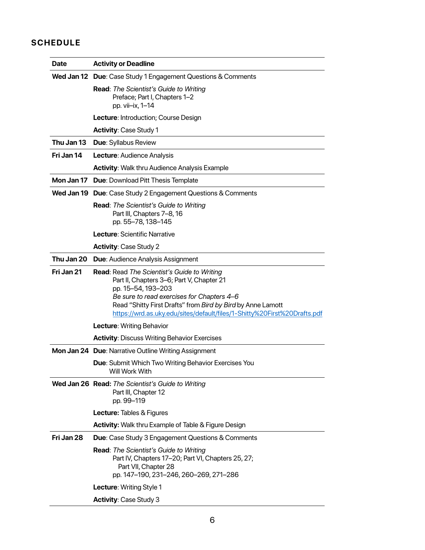# **SCHEDULE**

| <b>Date</b> | <b>Activity or Deadline</b>                                                                                                                                                                                                                                                                                    |  |
|-------------|----------------------------------------------------------------------------------------------------------------------------------------------------------------------------------------------------------------------------------------------------------------------------------------------------------------|--|
|             | Wed Jan 12 Due: Case Study 1 Engagement Questions & Comments                                                                                                                                                                                                                                                   |  |
|             | <b>Read:</b> The Scientist's Guide to Writing<br>Preface; Part I, Chapters 1-2<br>pp. vii-ix, 1-14                                                                                                                                                                                                             |  |
|             | Lecture: Introduction; Course Design                                                                                                                                                                                                                                                                           |  |
|             | <b>Activity: Case Study 1</b>                                                                                                                                                                                                                                                                                  |  |
| Thu Jan 13  | <b>Due: Syllabus Review</b>                                                                                                                                                                                                                                                                                    |  |
| Fri Jan 14  | Lecture: Audience Analysis                                                                                                                                                                                                                                                                                     |  |
|             | <b>Activity:</b> Walk thru Audience Analysis Example                                                                                                                                                                                                                                                           |  |
|             | Mon Jan 17 Due: Download Pitt Thesis Template                                                                                                                                                                                                                                                                  |  |
|             | Wed Jan 19 Due: Case Study 2 Engagement Questions & Comments                                                                                                                                                                                                                                                   |  |
|             | Read: The Scientist's Guide to Writing<br>Part III, Chapters 7-8, 16<br>pp. 55-78, 138-145                                                                                                                                                                                                                     |  |
|             | Lecture: Scientific Narrative                                                                                                                                                                                                                                                                                  |  |
|             | <b>Activity: Case Study 2</b>                                                                                                                                                                                                                                                                                  |  |
| Thu Jan 20  | <b>Due: Audience Analysis Assignment</b>                                                                                                                                                                                                                                                                       |  |
| Fri Jan 21  | <b>Read:</b> Read The Scientist's Guide to Writing<br>Part II, Chapters 3-6; Part V, Chapter 21<br>pp. 15-54, 193-203<br>Be sure to read exercises for Chapters 4-6<br>Read "Shitty First Drafts" from Bird by Bird by Anne Lamott<br>https://wrd.as.uky.edu/sites/default/files/1-Shitty%20First%20Drafts.pdf |  |
|             | Lecture: Writing Behavior                                                                                                                                                                                                                                                                                      |  |
|             | <b>Activity: Discuss Writing Behavior Exercises</b>                                                                                                                                                                                                                                                            |  |
|             | Mon Jan 24 Due: Narrative Outline Writing Assignment                                                                                                                                                                                                                                                           |  |
|             | <b>Due:</b> Submit Which Two Writing Behavior Exercises You<br>Will Work With                                                                                                                                                                                                                                  |  |
|             | Wed Jan 26 Read: The Scientist's Guide to Writing<br>Part III, Chapter 12<br>pp. 99-119                                                                                                                                                                                                                        |  |
|             | <b>Lecture: Tables &amp; Figures</b>                                                                                                                                                                                                                                                                           |  |
|             | <b>Activity:</b> Walk thru Example of Table & Figure Design                                                                                                                                                                                                                                                    |  |
| Fri Jan 28  | <b>Due:</b> Case Study 3 Engagement Questions & Comments                                                                                                                                                                                                                                                       |  |
|             | <b>Read:</b> The Scientist's Guide to Writing<br>Part IV, Chapters 17-20; Part VI, Chapters 25, 27;<br>Part VII, Chapter 28<br>pp. 147-190, 231-246, 260-269, 271-286                                                                                                                                          |  |
|             | Lecture: Writing Style 1                                                                                                                                                                                                                                                                                       |  |
|             | <b>Activity: Case Study 3</b>                                                                                                                                                                                                                                                                                  |  |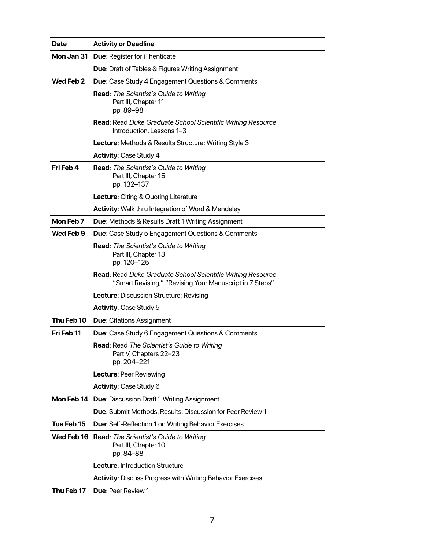| <b>Date</b> | <b>Activity or Deadline</b>                                                                                                   |
|-------------|-------------------------------------------------------------------------------------------------------------------------------|
|             | Mon Jan 31 Due: Register for iThenticate                                                                                      |
|             | <b>Due:</b> Draft of Tables & Figures Writing Assignment                                                                      |
| Wed Feb 2   | <b>Due:</b> Case Study 4 Engagement Questions & Comments                                                                      |
|             | Read: The Scientist's Guide to Writing<br>Part III, Chapter 11<br>pp. 89-98                                                   |
|             | Read: Read Duke Graduate School Scientific Writing Resource<br>Introduction, Lessons 1-3                                      |
|             | Lecture: Methods & Results Structure; Writing Style 3                                                                         |
|             | <b>Activity: Case Study 4</b>                                                                                                 |
| Fri Feb 4   | <b>Read:</b> The Scientist's Guide to Writing<br>Part III, Chapter 15<br>pp. 132-137                                          |
|             | Lecture: Citing & Quoting Literature                                                                                          |
|             | <b>Activity:</b> Walk thru Integration of Word & Mendeley                                                                     |
| Mon Feb 7   | <b>Due:</b> Methods & Results Draft 1 Writing Assignment                                                                      |
| Wed Feb 9   | <b>Due:</b> Case Study 5 Engagement Questions & Comments                                                                      |
|             | <b>Read:</b> The Scientist's Guide to Writing<br>Part III, Chapter 13<br>pp. 120–125                                          |
|             | <b>Read:</b> Read Duke Graduate School Scientific Writing Resource<br>"Smart Revising," "Revising Your Manuscript in 7 Steps" |
|             | <b>Lecture: Discussion Structure; Revising</b>                                                                                |
|             | <b>Activity: Case Study 5</b>                                                                                                 |
| Thu Feb 10  | <b>Due:</b> Citations Assignment                                                                                              |
| Fri Feb 11  | <b>Due:</b> Case Study 6 Engagement Questions & Comments                                                                      |
|             | <b>Read:</b> Read The Scientist's Guide to Writing<br>Part V, Chapters 22-23<br>pp. 204-221                                   |
|             | Lecture: Peer Reviewing                                                                                                       |
|             | Activity: Case Study 6                                                                                                        |
|             | <b>Mon Feb 14 Due: Discussion Draft 1 Writing Assignment</b>                                                                  |
|             | Due: Submit Methods, Results, Discussion for Peer Review 1                                                                    |
| Tue Feb 15  | <b>Due:</b> Self-Reflection 1 on Writing Behavior Exercises                                                                   |
|             | Wed Feb 16 Read: The Scientist's Guide to Writing<br>Part III, Chapter 10<br>pp. 84-88                                        |
|             | Lecture: Introduction Structure                                                                                               |
|             | <b>Activity: Discuss Progress with Writing Behavior Exercises</b>                                                             |
| Thu Feb 17  | <b>Due: Peer Review 1</b>                                                                                                     |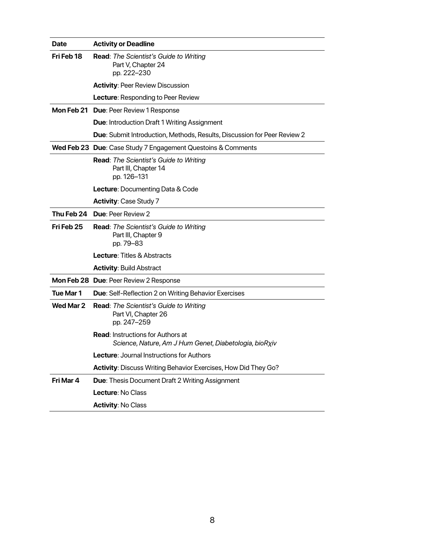| <b>Date</b> | <b>Activity or Deadline</b>                                                                        |
|-------------|----------------------------------------------------------------------------------------------------|
| Fri Feb 18  | <b>Read:</b> The Scientist's Guide to Writing<br>Part V, Chapter 24<br>pp. 222-230                 |
|             | <b>Activity: Peer Review Discussion</b>                                                            |
|             | <b>Lecture: Responding to Peer Review</b>                                                          |
|             | Mon Feb 21 Due: Peer Review 1 Response                                                             |
|             | <b>Due:</b> Introduction Draft 1 Writing Assignment                                                |
|             | <b>Due:</b> Submit Introduction, Methods, Results, Discussion for Peer Review 2                    |
|             | Wed Feb 23 Due: Case Study 7 Engagement Questoins & Comments                                       |
|             | Read: The Scientist's Guide to Writing<br>Part III, Chapter 14<br>pp. 126-131                      |
|             | <b>Lecture: Documenting Data &amp; Code</b>                                                        |
|             | <b>Activity: Case Study 7</b>                                                                      |
|             | Thu Feb 24 Due: Peer Review 2                                                                      |
| Fri Feb 25  | <b>Read:</b> The Scientist's Guide to Writing<br>Part III, Chapter 9<br>pp. 79-83                  |
|             | <b>Lecture</b> : Titles & Abstracts                                                                |
|             | <b>Activity: Build Abstract</b>                                                                    |
|             | Mon Feb 28 Due: Peer Review 2 Response                                                             |
| Tue Mar 1   | <b>Due:</b> Self-Reflection 2 on Writing Behavior Exercises                                        |
| Wed Mar 2   | <b>Read:</b> The Scientist's Guide to Writing<br>Part VI, Chapter 26<br>pp. 247-259                |
|             | <b>Read:</b> Instructions for Authors at<br>Science, Nature, Am J Hum Genet, Diabetologia, bioRxiv |
|             | <b>Lecture: Journal Instructions for Authors</b>                                                   |
|             | Activity: Discuss Writing Behavior Exercises, How Did They Go?                                     |
| Fri Mar 4   | <b>Due: Thesis Document Draft 2 Writing Assignment</b>                                             |
|             | Lecture: No Class                                                                                  |
|             | <b>Activity: No Class</b>                                                                          |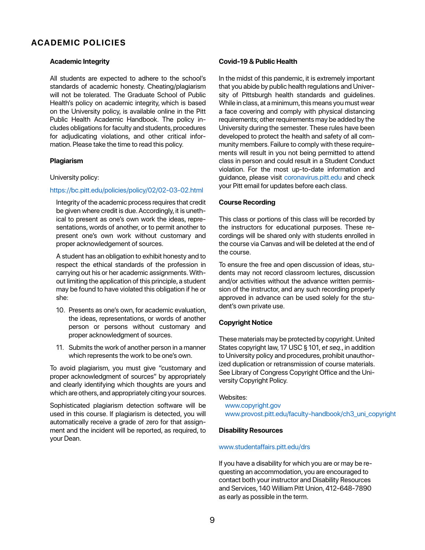## **ACADEMIC POLICIES**

### **Academic Integrity**

All students are expected to adhere to the school's standards of academic honesty. Cheating/plagiarism will not be tolerated. The Graduate School of Public Health's policy on academic integrity, which is based on the University policy, is available online in the Pitt Public Health Academic Handbook. The policy includes obligations for faculty and students, procedures for adjudicating violations, and other critical information. Please take the time to read this policy.

### **Plagiarism**

#### University policy:

### https://bc.pitt.edu/policies/policy/02/02-03-02.html

Integrity of the academic process requires that credit be given where credit is due. Accordingly, it is unethical to present as one's own work the ideas, representations, words of another, or to permit another to present one's own work without customary and proper acknowledgement of sources.

A student has an obligation to exhibit honesty and to respect the ethical standards of the profession in carrying out his or her academic assignments. Without limiting the application of this principle, a student may be found to have violated this obligation if he or she:

- 10. Presents as one's own, for academic evaluation, the ideas, representations, or words of another person or persons without customary and proper acknowledgment of sources.
- 11. Submits the work of another person in a manner which represents the work to be one's own.

To avoid plagiarism, you must give "customary and proper acknowledgment of sources" by appropriately and clearly identifying which thoughts are yours and which are others, and appropriately citing your sources.

Sophisticated plagiarism detection software will be used in this course. If plagiarism is detected, you will automatically receive a grade of zero for that assignment and the incident will be reported, as required, to your Dean.

### **Covid-19 & Public Health**

In the midst of this pandemic, it is extremely important that you abide by public health regulations and University of Pittsburgh health standards and guidelines. While in class, at a minimum, this means you must wear a face covering and comply with physical distancing requirements; other requirements may be added by the University during the semester. These rules have been developed to protect the health and safety of all community members. Failure to comply with these requirements will result in you not being permitted to attend class in person and could result in a Student Conduct violation. For the most up-to-date information and guidance, please visit coronavirus.pitt.edu and check your Pitt email for updates before each class.

### **Course Recording**

This class or portions of this class will be recorded by the instructors for educational purposes. These recordings will be shared only with students enrolled in the course via Canvas and will be deleted at the end of the course.

To ensure the free and open discussion of ideas, students may not record classroom lectures, discussion and/or activities without the advance written permission of the instructor, and any such recording properly approved in advance can be used solely for the student's own private use.

### **Copyright Notice**

These materials may be protected by copyright. United States copyright law, 17 USC § 101, *et seq*., in addition to University policy and procedures, prohibit unauthorized duplication or retransmission of course materials. See Library of Congress Copyright Office and the University Copyright Policy.

#### Websites:

www.copyright.gov www.provost.pitt.edu/faculty-handbook/ch3\_uni\_copyright

#### **Disability Resources**

#### www.studentaffairs.pitt.edu/drs

If you have a disability for which you are or may be requesting an accommodation, you are encouraged to contact both your instructor and Disability Resources and Services, 140 William Pitt Union, 412-648-7890 as early as possible in the term.